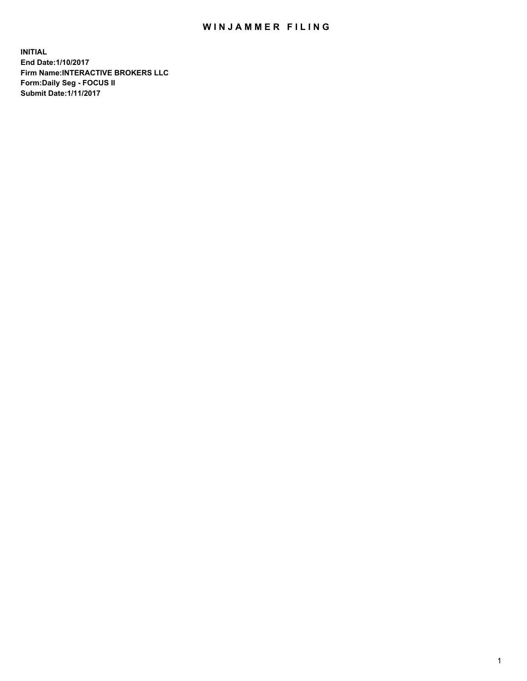## WIN JAMMER FILING

**INITIAL End Date:1/10/2017 Firm Name:INTERACTIVE BROKERS LLC Form:Daily Seg - FOCUS II Submit Date:1/11/2017**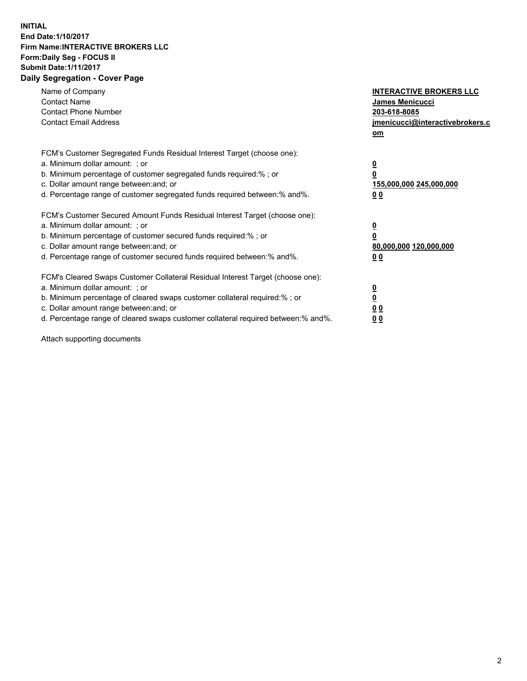## **INITIAL End Date:1/10/2017 Firm Name:INTERACTIVE BROKERS LLC Form:Daily Seg - FOCUS II Submit Date:1/11/2017 Daily Segregation - Cover Page**

| Name of Company<br><b>Contact Name</b><br><b>Contact Phone Number</b><br><b>Contact Email Address</b>                                                                                                                                                                                                                          | <b>INTERACTIVE BROKERS LLC</b><br>James Menicucci<br>203-618-8085<br>jmenicucci@interactivebrokers.c<br>om |
|--------------------------------------------------------------------------------------------------------------------------------------------------------------------------------------------------------------------------------------------------------------------------------------------------------------------------------|------------------------------------------------------------------------------------------------------------|
| FCM's Customer Segregated Funds Residual Interest Target (choose one):<br>a. Minimum dollar amount: ; or<br>b. Minimum percentage of customer segregated funds required:%; or<br>c. Dollar amount range between: and; or<br>d. Percentage range of customer segregated funds required between:% and%.                          | $\overline{\mathbf{0}}$<br>0<br>155,000,000 245,000,000<br>0 <sub>0</sub>                                  |
| FCM's Customer Secured Amount Funds Residual Interest Target (choose one):<br>a. Minimum dollar amount: ; or<br>b. Minimum percentage of customer secured funds required:%; or<br>c. Dollar amount range between: and; or<br>d. Percentage range of customer secured funds required between:% and%.                            | $\overline{\mathbf{0}}$<br>$\overline{\mathbf{0}}$<br>80,000,000 120,000,000<br>00                         |
| FCM's Cleared Swaps Customer Collateral Residual Interest Target (choose one):<br>a. Minimum dollar amount: ; or<br>b. Minimum percentage of cleared swaps customer collateral required:% ; or<br>c. Dollar amount range between: and; or<br>d. Percentage range of cleared swaps customer collateral required between:% and%. | $\overline{\mathbf{0}}$<br>$\overline{\mathbf{0}}$<br>0 <sub>0</sub><br><u>00</u>                          |

Attach supporting documents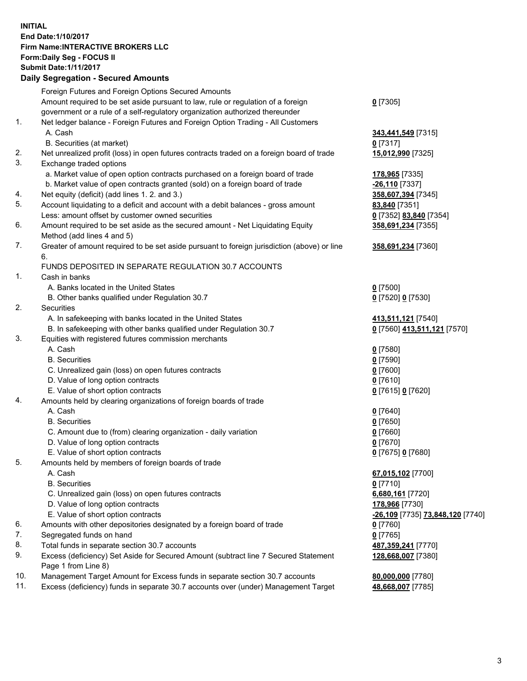## **INITIAL End Date:1/10/2017 Firm Name:INTERACTIVE BROKERS LLC Form:Daily Seg - FOCUS II Submit Date:1/11/2017 Daily Segregation - Secured Amounts**

|     | Daily Segregation - Secured Alliounts                                                       |                                  |
|-----|---------------------------------------------------------------------------------------------|----------------------------------|
|     | Foreign Futures and Foreign Options Secured Amounts                                         |                                  |
|     | Amount required to be set aside pursuant to law, rule or regulation of a foreign            | $0$ [7305]                       |
|     | government or a rule of a self-regulatory organization authorized thereunder                |                                  |
| 1.  | Net ledger balance - Foreign Futures and Foreign Option Trading - All Customers             |                                  |
|     | A. Cash                                                                                     | 343,441,549 [7315]               |
|     | B. Securities (at market)                                                                   | $0$ [7317]                       |
| 2.  |                                                                                             |                                  |
| 3.  | Net unrealized profit (loss) in open futures contracts traded on a foreign board of trade   | 15,012,990 [7325]                |
|     | Exchange traded options                                                                     |                                  |
|     | a. Market value of open option contracts purchased on a foreign board of trade              | 178,965 [7335]                   |
|     | b. Market value of open contracts granted (sold) on a foreign board of trade                | $-26,110$ [7337]                 |
| 4.  | Net equity (deficit) (add lines 1.2. and 3.)                                                | 358,607,394 [7345]               |
| 5.  | Account liquidating to a deficit and account with a debit balances - gross amount           | 83,840 [7351]                    |
|     | Less: amount offset by customer owned securities                                            | 0 [7352] 83,840 [7354]           |
| 6.  | Amount required to be set aside as the secured amount - Net Liquidating Equity              | 358,691,234 [7355]               |
|     | Method (add lines 4 and 5)                                                                  |                                  |
| 7.  | Greater of amount required to be set aside pursuant to foreign jurisdiction (above) or line | 358,691,234 [7360]               |
|     | 6.                                                                                          |                                  |
|     | FUNDS DEPOSITED IN SEPARATE REGULATION 30.7 ACCOUNTS                                        |                                  |
| 1.  | Cash in banks                                                                               |                                  |
|     | A. Banks located in the United States                                                       | $0$ [7500]                       |
|     | B. Other banks qualified under Regulation 30.7                                              | 0 [7520] 0 [7530]                |
| 2.  | Securities                                                                                  |                                  |
|     | A. In safekeeping with banks located in the United States                                   | 413,511,121 [7540]               |
|     | B. In safekeeping with other banks qualified under Regulation 30.7                          | 0 [7560] 413,511,121 [7570]      |
| 3.  | Equities with registered futures commission merchants                                       |                                  |
|     | A. Cash                                                                                     | $0$ [7580]                       |
|     | <b>B.</b> Securities                                                                        | $0$ [7590]                       |
|     | C. Unrealized gain (loss) on open futures contracts                                         | $0$ [7600]                       |
|     | D. Value of long option contracts                                                           | $0$ [7610]                       |
|     | E. Value of short option contracts                                                          | 0 [7615] 0 [7620]                |
| 4.  | Amounts held by clearing organizations of foreign boards of trade                           |                                  |
|     | A. Cash                                                                                     |                                  |
|     | <b>B.</b> Securities                                                                        | $0$ [7640]                       |
|     |                                                                                             | $0$ [7650]                       |
|     | C. Amount due to (from) clearing organization - daily variation                             | $0$ [7660]                       |
|     | D. Value of long option contracts                                                           | $0$ [7670]                       |
|     | E. Value of short option contracts                                                          | 0 [7675] 0 [7680]                |
| 5.  | Amounts held by members of foreign boards of trade                                          |                                  |
|     | A. Cash                                                                                     | 67,015,102 [7700]                |
|     | <b>B.</b> Securities                                                                        | $0$ [7710]                       |
|     | C. Unrealized gain (loss) on open futures contracts                                         | 6,680,161 [7720]                 |
|     | D. Value of long option contracts                                                           | 178,966 [7730]                   |
|     | E. Value of short option contracts                                                          | -26,109 [7735] 73,848,120 [7740] |
| 6.  | Amounts with other depositories designated by a foreign board of trade                      | 0 [7760]                         |
| 7.  | Segregated funds on hand                                                                    | $0$ [7765]                       |
| 8.  | Total funds in separate section 30.7 accounts                                               | 487, 359, 241 [7770]             |
| 9.  | Excess (deficiency) Set Aside for Secured Amount (subtract line 7 Secured Statement         | 128,668,007 [7380]               |
|     | Page 1 from Line 8)                                                                         |                                  |
| 10. | Management Target Amount for Excess funds in separate section 30.7 accounts                 | 80,000,000 [7780]                |
| 11. | Excess (deficiency) funds in separate 30.7 accounts over (under) Management Target          | 48,668,007 [7785]                |
|     |                                                                                             |                                  |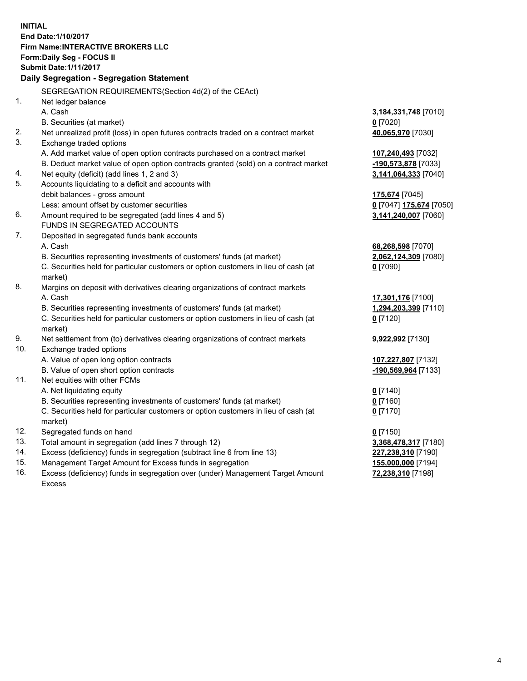**INITIAL End Date:1/10/2017 Firm Name:INTERACTIVE BROKERS LLC Form:Daily Seg - FOCUS II Submit Date:1/11/2017 Daily Segregation - Segregation Statement** SEGREGATION REQUIREMENTS(Section 4d(2) of the CEAct) 1. Net ledger balance A. Cash **3,184,331,748** [7010] B. Securities (at market) **0** [7020] 2. Net unrealized profit (loss) in open futures contracts traded on a contract market **40,065,970** [7030] 3. Exchange traded options A. Add market value of open option contracts purchased on a contract market **107,240,493** [7032] B. Deduct market value of open option contracts granted (sold) on a contract market **-190,573,878** [7033] 4. Net equity (deficit) (add lines 1, 2 and 3) **3,141,064,333** [7040] 5. Accounts liquidating to a deficit and accounts with debit balances - gross amount **175,674** [7045] Less: amount offset by customer securities **0** [7047] **175,674** [7050] 6. Amount required to be segregated (add lines 4 and 5) **3,141,240,007** [7060] FUNDS IN SEGREGATED ACCOUNTS 7. Deposited in segregated funds bank accounts A. Cash **68,268,598** [7070] B. Securities representing investments of customers' funds (at market) **2,062,124,309** [7080] C. Securities held for particular customers or option customers in lieu of cash (at market) **0** [7090] 8. Margins on deposit with derivatives clearing organizations of contract markets A. Cash **17,301,176** [7100] B. Securities representing investments of customers' funds (at market) **1,294,203,399** [7110] C. Securities held for particular customers or option customers in lieu of cash (at market) **0** [7120] 9. Net settlement from (to) derivatives clearing organizations of contract markets **9,922,992** [7130] 10. Exchange traded options A. Value of open long option contracts **107,227,807** [7132] B. Value of open short option contracts **-190,569,964** [7133] 11. Net equities with other FCMs A. Net liquidating equity **0** [7140] B. Securities representing investments of customers' funds (at market) **0** [7160] C. Securities held for particular customers or option customers in lieu of cash (at market) **0** [7170] 12. Segregated funds on hand **0** [7150] 13. Total amount in segregation (add lines 7 through 12) **3,368,478,317** [7180] 14. Excess (deficiency) funds in segregation (subtract line 6 from line 13) **227,238,310** [7190] 15. Management Target Amount for Excess funds in segregation **155,000,000** [7194]

16. Excess (deficiency) funds in segregation over (under) Management Target Amount Excess

**72,238,310** [7198]